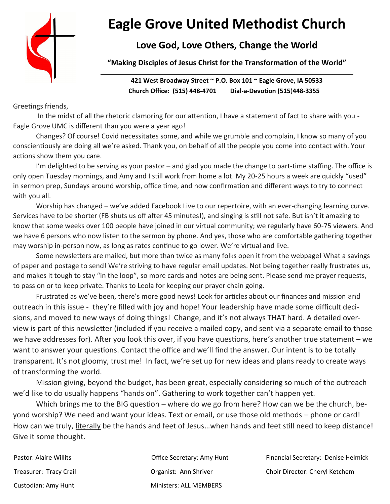

# **Eagle Grove United Methodist Church**

# **Love God, Love Others, Change the World**

**"Making Disciples of Jesus Christ for the Transformation of the World"**

**421 West Broadway Street ~ P.O. Box 101 ~ Eagle Grove, IA 50533 Church Office: (515) 448-4701 Dial-a-Devotion (515**)**448-3355**

Greetings friends,

In the midst of all the rhetoric clamoring for our attention, I have a statement of fact to share with you - Eagle Grove UMC is different than you were a year ago!

Changes? Of course! Covid necessitates some, and while we grumble and complain, I know so many of you conscientiously are doing all we're asked. Thank you, on behalf of all the people you come into contact with. Your actions show them you care.

I'm delighted to be serving as your pastor – and glad you made the change to part-time staffing. The office is only open Tuesday mornings, and Amy and I still work from home a lot. My 20-25 hours a week are quickly "used" in sermon prep, Sundays around worship, office time, and now confirmation and different ways to try to connect with you all.

Worship has changed – we've added Facebook Live to our repertoire, with an ever-changing learning curve. Services have to be shorter (FB shuts us off after 45 minutes!), and singing is still not safe. But isn't it amazing to know that some weeks over 100 people have joined in our virtual community; we regularly have 60-75 viewers. And we have 6 persons who now listen to the sermon by phone. And yes, those who are comfortable gathering together may worship in-person now, as long as rates continue to go lower. We're virtual and live.

Some newsletters are mailed, but more than twice as many folks open it from the webpage! What a savings of paper and postage to send! We're striving to have regular email updates. Not being together really frustrates us, and makes it tough to stay "in the loop", so more cards and notes are being sent. Please send me prayer requests, to pass on or to keep private. Thanks to Leola for keeping our prayer chain going.

Frustrated as we've been, there's more good news! Look for articles about our finances and mission and outreach in this issue - they're filled with joy and hope! Your leadership have made some difficult decisions, and moved to new ways of doing things! Change, and it's not always THAT hard. A detailed overview is part of this newsletter (included if you receive a mailed copy, and sent via a separate email to those we have addresses for). After you look this over, if you have questions, here's another true statement – we want to answer your questions. Contact the office and we'll find the answer. Our intent is to be totally transparent. It's not gloomy, trust me! In fact, we're set up for new ideas and plans ready to create ways of transforming the world.

Mission giving, beyond the budget, has been great, especially considering so much of the outreach we'd like to do usually happens "hands on". Gathering to work together can't happen yet.

Which brings me to the BIG question – where do we go from here? How can we be the church, beyond worship? We need and want your ideas. Text or email, or use those old methods – phone or card! How can we truly, literally be the hands and feet of Jesus...when hands and feet still need to keep distance! Give it some thought.

Custodian: Amy Hunt Ministers: ALL MEMBERS

Pastor: Alaire Willits **Communist Communist Communist Communist** Controller Secretary: Amy Hunt Financial Secretary: Denise Helmick

**\_\_\_\_\_\_\_\_\_\_\_\_\_\_\_\_\_\_\_\_** 

Treasurer: Tracy Crail Organist: Ann Shriver Choir Director: Cheryl Ketchem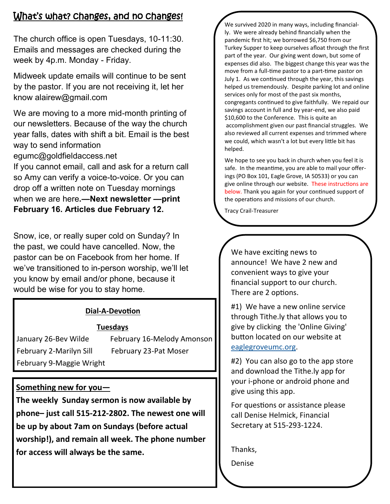# What's what? changes, and no changes!

The church office is open Tuesdays, 10-11:30. Emails and messages are checked during the week by 4p.m. Monday - Friday.

Midweek update emails will continue to be sent by the pastor. If you are not receiving it, let her know alairew@gmail.com

We are moving to a more mid-month printing of our newsletters. Because of the way the church year falls, dates with shift a bit. Email is the best way to send information

egumc@goldfieldaccess.net

If you cannot email, call and ask for a return call so Amy can verify a voice-to-voice. Or you can drop off a written note on Tuesday mornings when we are here**.—Next newsletter —print February 16. Articles due February 12.** 

Snow, ice, or really super cold on Sunday? In the past, we could have cancelled. Now, the pastor can be on Facebook from her home. If we've transitioned to in-person worship, we'll let you know by email and/or phone, because it would be wise for you to stay home.

## **Dial-A-Devotion**

## **Tuesdays**

February 2-Marilyn Sill February 23-Pat Moser February 9-Maggie Wright

January 26-Bev Wilde February 16-Melody Amonson

## **Something new for you—**

**The weekly Sunday sermon is now available by phone– just call 515-212-2802. The newest one will be up by about 7am on Sundays (before actual worship!), and remain all week. The phone number for access will always be the same.**

We survived 2020 in many ways, including financially. We were already behind financially when the pandemic first hit; we borrowed \$6,750 from our Turkey Supper to keep ourselves afloat through the first part of the year. Our giving went down, but some of expenses did also. The biggest change this year was the move from a full-time pastor to a part-time pastor on July 1. As we continued through the year, this savings helped us tremendously. Despite parking lot and online services only for most of the past six months, congregants continued to give faithfully. We repaid our savings account in full and by year-end, we also paid \$10,600 to the Conference. This is quite an accomplishment given our past financial struggles. We also reviewed all current expenses and trimmed where we could, which wasn't a lot but every little bit has helped.

We hope to see you back in church when you feel it is safe. In the meantime, you are able to mail your offerings (PO Box 101, Eagle Grove, IA 50533) or you can give online through our website. These instructions are below. Thank you again for your continued support of the operations and missions of our church.

Tracy Crail-Treasurer

We have exciting news to announce! We have 2 new and convenient ways to give your financial support to our church. There are 2 options.

#1) We have a new online service through Tithe.ly that allows you to give by clicking the 'Online Giving' button located on our website at [eaglegroveumc.org.](http://eaglegroveumc.org)

#2) You can also go to the app store and download the Tithe.ly app for your i-phone or android phone and give using this app.

For questions or assistance please call Denise Helmick, Financial Secretary at 515-293-1224.

Thanks,

Denise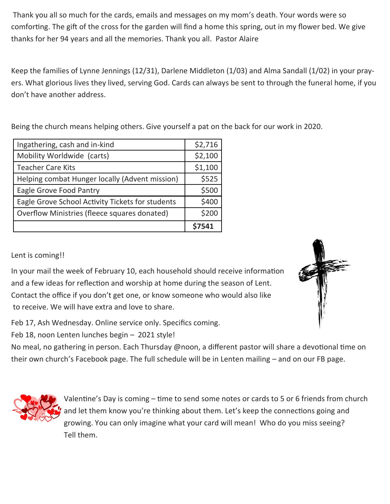Thank you all so much for the cards, emails and messages on my mom's death. Your words were so comforting. The gift of the cross for the garden will find a home this spring, out in my flower bed. We give thanks for her 94 years and all the memories. Thank you all. Pastor Alaire

Keep the families of Lynne Jennings (12/31), Darlene Middleton (1/03) and Alma Sandall (1/02) in your prayers. What glorious lives they lived, serving God. Cards can always be sent to through the funeral home, if you don't have another address.

Being the church means helping others. Give yourself a pat on the back for our work in 2020.

| Ingathering, cash and in-kind                    | \$2,716 |
|--------------------------------------------------|---------|
| Mobility Worldwide (carts)                       | \$2,100 |
| <b>Teacher Care Kits</b>                         | \$1,100 |
| Helping combat Hunger locally (Advent mission)   | \$525   |
| Eagle Grove Food Pantry                          | \$500   |
| Eagle Grove School Activity Tickets for students | \$400   |
| Overflow Ministries (fleece squares donated)     | \$200   |
|                                                  | S7541   |

## Lent is coming!!

In your mail the week of February 10, each household should receive information and a few ideas for reflection and worship at home during the season of Lent. Contact the office if you don't get one, or know someone who would also like to receive. We will have extra and love to share.

Feb 17, Ash Wednesday. Online service only. Specifics coming.

Feb 18, noon Lenten lunches begin – 2021 style!

No meal, no gathering in person. Each Thursday @noon, a different pastor will share a devotional time on their own church's Facebook page. The full schedule will be in Lenten mailing – and on our FB page.



Valentine's Day is coming – time to send some notes or cards to 5 or 6 friends from church and let them know you're thinking about them. Let's keep the connections going and growing. You can only imagine what your card will mean! Who do you miss seeing? Tell them.